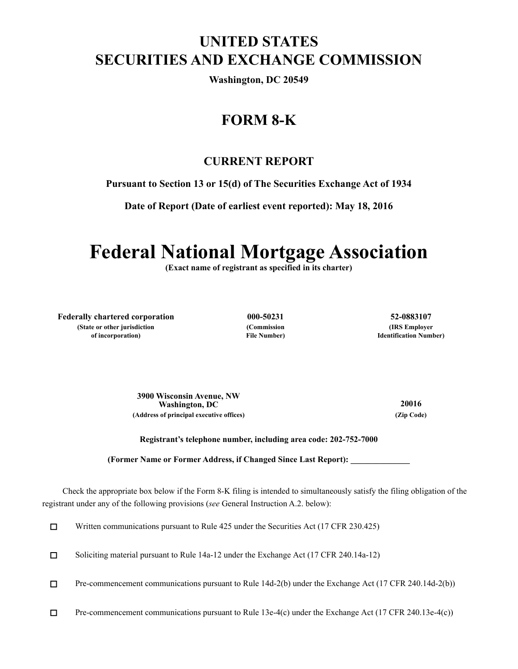## **UNITED STATES SECURITIES AND EXCHANGE COMMISSION**

**Washington, DC 20549**

## **FORM 8-K**

### **CURRENT REPORT**

**Pursuant to Section 13 or 15(d) of The Securities Exchange Act of 1934**

**Date of Report (Date of earliest event reported): May 18, 2016**

# **Federal National Mortgage Association**

**(Exact name of registrant as specified in its charter)**

**Federally chartered corporation 000-50231 52-0883107 (State or other jurisdiction of incorporation)**

**(Commission File Number)**

**(IRS Employer Identification Number)**

**3900 Wisconsin Avenue, NW Washington, DC 20016 (Address of principal executive offices) (Zip Code)**

**Registrant's telephone number, including area code: 202-752-7000**

**(Former Name or Former Address, if Changed Since Last Report): \_\_\_\_\_\_\_\_\_\_\_\_\_\_**

Check the appropriate box below if the Form 8-K filing is intended to simultaneously satisfy the filing obligation of the registrant under any of the following provisions (*see* General Instruction A.2. below):

 $\Box$ Written communications pursuant to Rule 425 under the Securities Act (17 CFR 230.425)

Soliciting material pursuant to Rule 14a-12 under the Exchange Act (17 CFR 240.14a-12)  $\Box$ 

 $\Box$ Pre-commencement communications pursuant to Rule 14d-2(b) under the Exchange Act (17 CFR 240.14d-2(b))

 $\Box$ Pre-commencement communications pursuant to Rule 13e-4(c) under the Exchange Act (17 CFR 240.13e-4(c))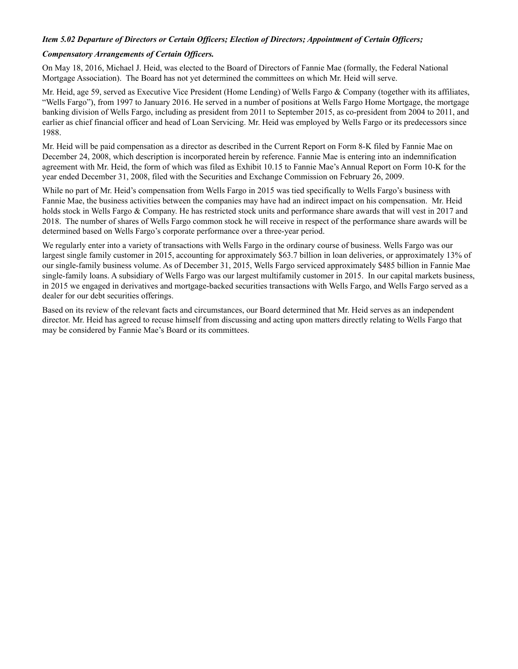#### *Item 5.02 Departure of Directors or Certain Officers; Election of Directors; Appointment of Certain Officers;*

#### *Compensatory Arrangements of Certain Officers.*

On May 18, 2016, Michael J. Heid, was elected to the Board of Directors of Fannie Mae (formally, the Federal National Mortgage Association). The Board has not yet determined the committees on which Mr. Heid will serve.

Mr. Heid, age 59, served as Executive Vice President (Home Lending) of Wells Fargo & Company (together with its affiliates, "Wells Fargo"), from 1997 to January 2016. He served in a number of positions at Wells Fargo Home Mortgage, the mortgage banking division of Wells Fargo, including as president from 2011 to September 2015, as co-president from 2004 to 2011, and earlier as chief financial officer and head of Loan Servicing. Mr. Heid was employed by Wells Fargo or its predecessors since 1988.

Mr. Heid will be paid compensation as a director as described in the Current Report on Form 8-K filed by Fannie Mae on December 24, 2008, which description is incorporated herein by reference. Fannie Mae is entering into an indemnification agreement with Mr. Heid, the form of which was filed as Exhibit 10.15 to Fannie Mae's Annual Report on Form 10-K for the year ended December 31, 2008, filed with the Securities and Exchange Commission on February 26, 2009.

While no part of Mr. Heid's compensation from Wells Fargo in 2015 was tied specifically to Wells Fargo's business with Fannie Mae, the business activities between the companies may have had an indirect impact on his compensation. Mr. Heid holds stock in Wells Fargo & Company. He has restricted stock units and performance share awards that will vest in 2017 and 2018. The number of shares of Wells Fargo common stock he will receive in respect of the performance share awards will be determined based on Wells Fargo's corporate performance over a three-year period.

We regularly enter into a variety of transactions with Wells Fargo in the ordinary course of business. Wells Fargo was our largest single family customer in 2015, accounting for approximately \$63.7 billion in loan deliveries, or approximately 13% of our single-family business volume. As of December 31, 2015, Wells Fargo serviced approximately \$485 billion in Fannie Mae single-family loans. A subsidiary of Wells Fargo was our largest multifamily customer in 2015. In our capital markets business, in 2015 we engaged in derivatives and mortgage-backed securities transactions with Wells Fargo, and Wells Fargo served as a dealer for our debt securities offerings.

Based on its review of the relevant facts and circumstances, our Board determined that Mr. Heid serves as an independent director. Mr. Heid has agreed to recuse himself from discussing and acting upon matters directly relating to Wells Fargo that may be considered by Fannie Mae's Board or its committees.